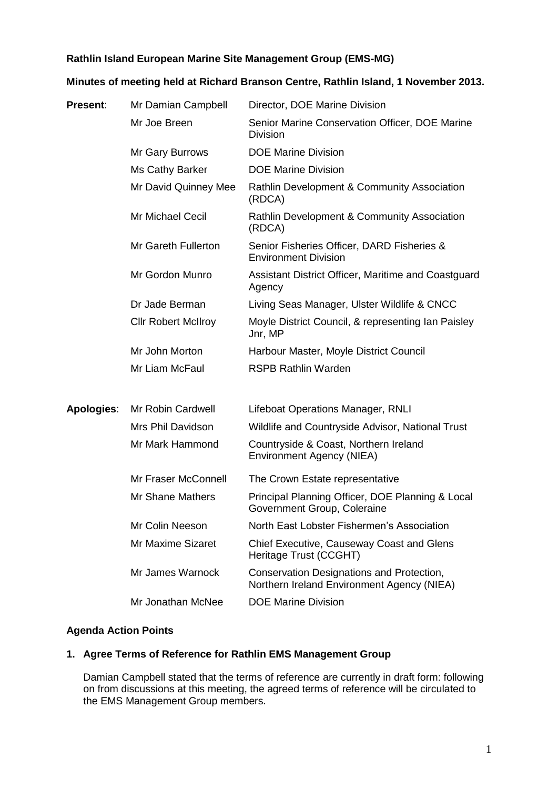## **Rathlin Island European Marine Site Management Group (EMS-MG)**

## **Minutes of meeting held at Richard Branson Centre, Rathlin Island, 1 November 2013.**

| <b>Present:</b>   | Mr Damian Campbell         | Director, DOE Marine Division                                                           |
|-------------------|----------------------------|-----------------------------------------------------------------------------------------|
|                   | Mr Joe Breen               | Senior Marine Conservation Officer, DOE Marine<br><b>Division</b>                       |
|                   | Mr Gary Burrows            | <b>DOE Marine Division</b>                                                              |
|                   | Ms Cathy Barker            | <b>DOE Marine Division</b>                                                              |
|                   | Mr David Quinney Mee       | Rathlin Development & Community Association<br>(RDCA)                                   |
|                   | Mr Michael Cecil           | Rathlin Development & Community Association<br>(RDCA)                                   |
|                   | Mr Gareth Fullerton        | Senior Fisheries Officer, DARD Fisheries &<br><b>Environment Division</b>               |
|                   | Mr Gordon Munro            | Assistant District Officer, Maritime and Coastguard<br>Agency                           |
|                   | Dr Jade Berman             | Living Seas Manager, Ulster Wildlife & CNCC                                             |
|                   | <b>Cllr Robert McIlroy</b> | Moyle District Council, & representing Ian Paisley<br>Jnr, MP                           |
|                   | Mr John Morton             | Harbour Master, Moyle District Council                                                  |
|                   | Mr Liam McFaul             | <b>RSPB Rathlin Warden</b>                                                              |
| <b>Apologies:</b> | Mr Robin Cardwell          | Lifeboat Operations Manager, RNLI                                                       |
|                   | Mrs Phil Davidson          | Wildlife and Countryside Advisor, National Trust                                        |
|                   | Mr Mark Hammond            | Countryside & Coast, Northern Ireland<br><b>Environment Agency (NIEA)</b>               |
|                   | Mr Fraser McConnell        | The Crown Estate representative                                                         |
|                   | <b>Mr Shane Mathers</b>    | Principal Planning Officer, DOE Planning & Local<br>Government Group, Coleraine         |
|                   | Mr Colin Neeson            | North East Lobster Fishermen's Association                                              |
|                   | Mr Maxime Sizaret          | Chief Executive, Causeway Coast and Glens<br>Heritage Trust (CCGHT)                     |
|                   | Mr James Warnock           | Conservation Designations and Protection,<br>Northern Ireland Environment Agency (NIEA) |
|                   | Mr Jonathan McNee          | <b>DOE Marine Division</b>                                                              |

## **Agenda Action Points**

# **1. Agree Terms of Reference for Rathlin EMS Management Group**

Damian Campbell stated that the terms of reference are currently in draft form: following on from discussions at this meeting, the agreed terms of reference will be circulated to the EMS Management Group members.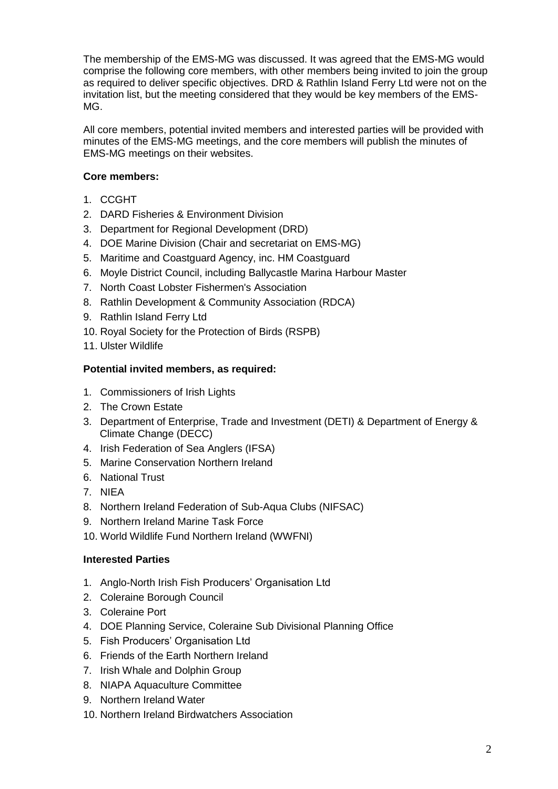The membership of the EMS-MG was discussed. It was agreed that the EMS-MG would comprise the following core members, with other members being invited to join the group as required to deliver specific objectives. DRD & Rathlin Island Ferry Ltd were not on the invitation list, but the meeting considered that they would be key members of the EMS-MG.

All core members, potential invited members and interested parties will be provided with minutes of the EMS-MG meetings, and the core members will publish the minutes of EMS-MG meetings on their websites.

### **Core members:**

- 1. CCGHT
- 2. DARD Fisheries & Environment Division
- 3. Department for Regional Development (DRD)
- 4. DOE Marine Division (Chair and secretariat on EMS-MG)
- 5. Maritime and Coastguard Agency, inc. HM Coastguard
- 6. Moyle District Council, including Ballycastle Marina Harbour Master
- 7. North Coast Lobster Fishermen's Association
- 8. Rathlin Development & Community Association (RDCA)
- 9. Rathlin Island Ferry Ltd
- 10. Royal Society for the Protection of Birds (RSPB)
- 11. Ulster Wildlife

## **Potential invited members, as required:**

- 1. Commissioners of Irish Lights
- 2. The Crown Estate
- 3. Department of Enterprise, Trade and Investment (DETI) & Department of Energy & Climate Change (DECC)
- 4. Irish Federation of Sea Anglers (IFSA)
- 5. Marine Conservation Northern Ireland
- 6. National Trust
- 7. NIEA
- 8. Northern Ireland Federation of Sub-Aqua Clubs (NIFSAC)
- 9. Northern Ireland Marine Task Force
- 10. World Wildlife Fund Northern Ireland (WWFNI)

## **Interested Parties**

- 1. Anglo-North Irish Fish Producers' Organisation Ltd
- 2. Coleraine Borough Council
- 3. Coleraine Port
- 4. DOE Planning Service, Coleraine Sub Divisional Planning Office
- 5. Fish Producers' Organisation Ltd
- 6. Friends of the Earth Northern Ireland
- 7. Irish Whale and Dolphin Group
- 8. NIAPA Aquaculture Committee
- 9. Northern Ireland Water
- 10. Northern Ireland Birdwatchers Association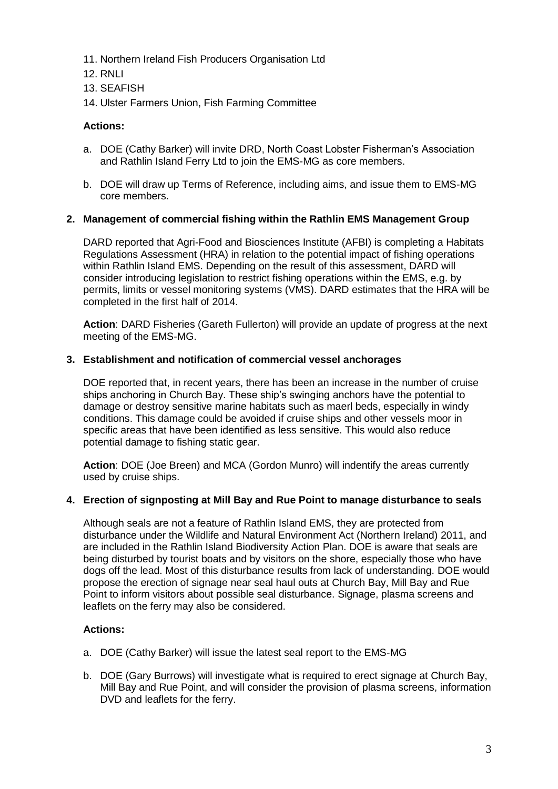- 11. Northern Ireland Fish Producers Organisation Ltd
- 12. RNLI
- 13. SEAFISH
- 14. Ulster Farmers Union, Fish Farming Committee

### **Actions:**

- a. DOE (Cathy Barker) will invite DRD, North Coast Lobster Fisherman's Association and Rathlin Island Ferry Ltd to join the EMS-MG as core members.
- b. DOE will draw up Terms of Reference, including aims, and issue them to EMS-MG core members.

### **2. Management of commercial fishing within the Rathlin EMS Management Group**

DARD reported that Agri-Food and Biosciences Institute (AFBI) is completing a Habitats Regulations Assessment (HRA) in relation to the potential impact of fishing operations within Rathlin Island EMS. Depending on the result of this assessment, DARD will consider introducing legislation to restrict fishing operations within the EMS, e.g. by permits, limits or vessel monitoring systems (VMS). DARD estimates that the HRA will be completed in the first half of 2014.

**Action**: DARD Fisheries (Gareth Fullerton) will provide an update of progress at the next meeting of the EMS-MG.

#### **3. Establishment and notification of commercial vessel anchorages**

DOE reported that, in recent years, there has been an increase in the number of cruise ships anchoring in Church Bay. These ship's swinging anchors have the potential to damage or destroy sensitive marine habitats such as maerl beds, especially in windy conditions. This damage could be avoided if cruise ships and other vessels moor in specific areas that have been identified as less sensitive. This would also reduce potential damage to fishing static gear.

**Action**: DOE (Joe Breen) and MCA (Gordon Munro) will indentify the areas currently used by cruise ships.

#### **4. Erection of signposting at Mill Bay and Rue Point to manage disturbance to seals**

Although seals are not a feature of Rathlin Island EMS, they are protected from disturbance under the Wildlife and Natural Environment Act (Northern Ireland) 2011, and are included in the Rathlin Island Biodiversity Action Plan. DOE is aware that seals are being disturbed by tourist boats and by visitors on the shore, especially those who have dogs off the lead. Most of this disturbance results from lack of understanding. DOE would propose the erection of signage near seal haul outs at Church Bay, Mill Bay and Rue Point to inform visitors about possible seal disturbance. Signage, plasma screens and leaflets on the ferry may also be considered.

### **Actions:**

- a. DOE (Cathy Barker) will issue the latest seal report to the EMS-MG
- b. DOE (Gary Burrows) will investigate what is required to erect signage at Church Bay, Mill Bay and Rue Point, and will consider the provision of plasma screens, information DVD and leaflets for the ferry.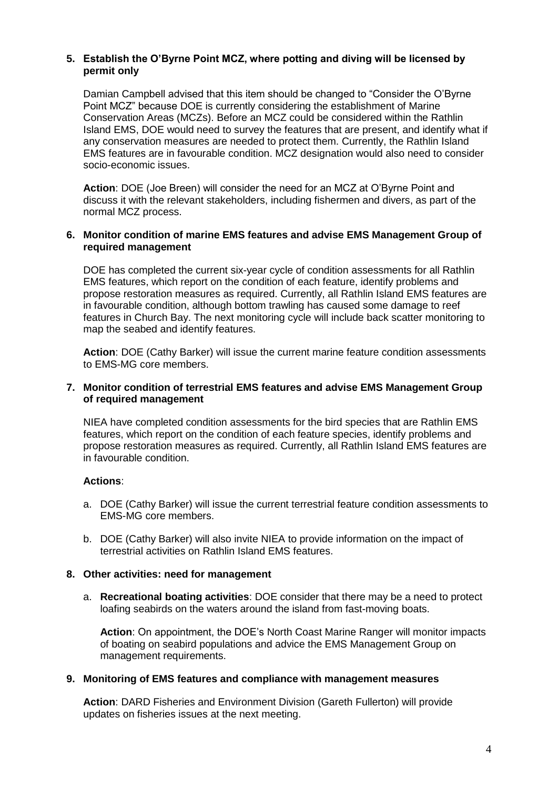### **5. Establish the O'Byrne Point MCZ, where potting and diving will be licensed by permit only**

Damian Campbell advised that this item should be changed to "Consider the O'Byrne Point MCZ" because DOE is currently considering the establishment of Marine Conservation Areas (MCZs). Before an MCZ could be considered within the Rathlin Island EMS, DOE would need to survey the features that are present, and identify what if any conservation measures are needed to protect them. Currently, the Rathlin Island EMS features are in favourable condition. MCZ designation would also need to consider socio-economic issues.

**Action**: DOE (Joe Breen) will consider the need for an MCZ at O'Byrne Point and discuss it with the relevant stakeholders, including fishermen and divers, as part of the normal MCZ process.

#### **6. Monitor condition of marine EMS features and advise EMS Management Group of required management**

DOE has completed the current six-year cycle of condition assessments for all Rathlin EMS features, which report on the condition of each feature, identify problems and propose restoration measures as required. Currently, all Rathlin Island EMS features are in favourable condition, although bottom trawling has caused some damage to reef features in Church Bay. The next monitoring cycle will include back scatter monitoring to map the seabed and identify features.

**Action**: DOE (Cathy Barker) will issue the current marine feature condition assessments to EMS-MG core members.

### **7. Monitor condition of terrestrial EMS features and advise EMS Management Group of required management**

NIEA have completed condition assessments for the bird species that are Rathlin EMS features, which report on the condition of each feature species, identify problems and propose restoration measures as required. Currently, all Rathlin Island EMS features are in favourable condition.

### **Actions**:

- a. DOE (Cathy Barker) will issue the current terrestrial feature condition assessments to EMS-MG core members.
- b. DOE (Cathy Barker) will also invite NIEA to provide information on the impact of terrestrial activities on Rathlin Island EMS features.

#### **8. Other activities: need for management**

a. **Recreational boating activities**: DOE consider that there may be a need to protect loafing seabirds on the waters around the island from fast-moving boats.

**Action**: On appointment, the DOE's North Coast Marine Ranger will monitor impacts of boating on seabird populations and advice the EMS Management Group on management requirements.

#### **9. Monitoring of EMS features and compliance with management measures**

**Action**: DARD Fisheries and Environment Division (Gareth Fullerton) will provide updates on fisheries issues at the next meeting.